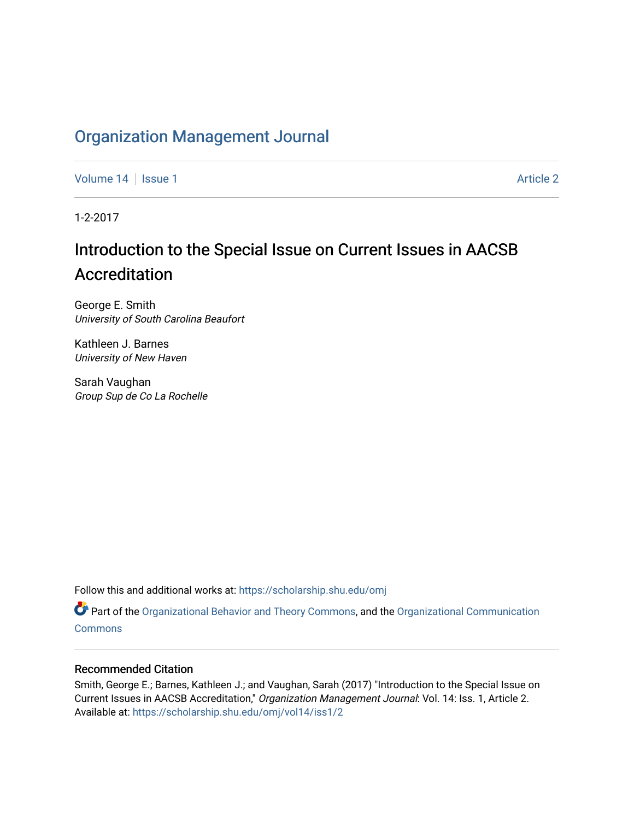# [Organization Management Journal](https://scholarship.shu.edu/omj)

[Volume 14](https://scholarship.shu.edu/omj/vol14) Suitsue 1 [Article 2](https://scholarship.shu.edu/omj/vol14/iss1/2) Article 2 Article 2 Article 2 Article 2

1-2-2017

# Introduction to the Special Issue on Current Issues in AACSB Accreditation

George E. Smith University of South Carolina Beaufort

Kathleen J. Barnes University of New Haven

Sarah Vaughan Group Sup de Co La Rochelle

Follow this and additional works at: [https://scholarship.shu.edu/omj](https://scholarship.shu.edu/omj?utm_source=scholarship.shu.edu%2Fomj%2Fvol14%2Fiss1%2F2&utm_medium=PDF&utm_campaign=PDFCoverPages) 

Part of the [Organizational Behavior and Theory Commons,](http://network.bepress.com/hgg/discipline/639?utm_source=scholarship.shu.edu%2Fomj%2Fvol14%2Fiss1%2F2&utm_medium=PDF&utm_campaign=PDFCoverPages) and the [Organizational Communication](http://network.bepress.com/hgg/discipline/335?utm_source=scholarship.shu.edu%2Fomj%2Fvol14%2Fiss1%2F2&utm_medium=PDF&utm_campaign=PDFCoverPages) **[Commons](http://network.bepress.com/hgg/discipline/335?utm_source=scholarship.shu.edu%2Fomj%2Fvol14%2Fiss1%2F2&utm_medium=PDF&utm_campaign=PDFCoverPages)** 

### Recommended Citation

Smith, George E.; Barnes, Kathleen J.; and Vaughan, Sarah (2017) "Introduction to the Special Issue on Current Issues in AACSB Accreditation," Organization Management Journal: Vol. 14: Iss. 1, Article 2. Available at: [https://scholarship.shu.edu/omj/vol14/iss1/2](https://scholarship.shu.edu/omj/vol14/iss1/2?utm_source=scholarship.shu.edu%2Fomj%2Fvol14%2Fiss1%2F2&utm_medium=PDF&utm_campaign=PDFCoverPages)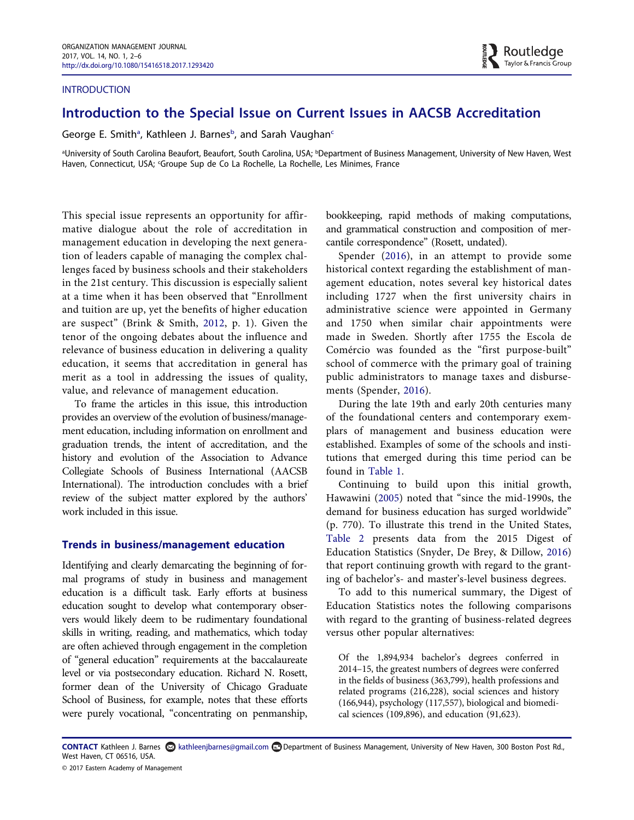#### INTRODUCTION

## Introduction to the Special Issue on Current Issues in AACSB Accreditation

George E. Smith<sup>a</sup>, Kathleen J. Barnes<sup>b</sup>, and Sarah Vaug[ha](#page-1-0)n<sup>[c](#page-1-1)</sup>

<span id="page-1-1"></span><span id="page-1-0"></span>aUniversity of South Carolina Beaufort, Beaufort, South Carolina, USA; <sup>b</sup>Department of Business Management, University of New Haven, West <sup>a</sup> Haven, Connecticut, USA; 'Groupe Sup de Co La Rochelle, La Rochelle, Les Minimes, France

This special issue represents an opportunity for affirmative dialogue about the role of accreditation in management education in developing the next generation of leaders capable of managing the complex challenges faced by business schools and their stakeholders in the 21st century. This discussion is especially salient at a time when it has been observed that "Enrollment and tuition are up, yet the benefits of higher education are suspect" (Brink & Smith, [2012,](#page-5-0) p. 1). Given the tenor of the ongoing debates about the influence and relevance of business education in delivering a quality education, it seems that accreditation in general has merit as a tool in addressing the issues of quality, value, and relevance of management education.

To frame the articles in this issue, this introduction provides an overview of the evolution of business/management education, including information on enrollment and graduation trends, the intent of accreditation, and the history and evolution of the Association to Advance Collegiate Schools of Business International (AACSB International). The introduction concludes with a brief review of the subject matter explored by the authors' work included in this issue.

#### Trends in business/management education

Identifying and clearly demarcating the beginning of formal programs of study in business and management education is a difficult task. Early efforts at business education sought to develop what contemporary observers would likely deem to be rudimentary foundational skills in writing, reading, and mathematics, which today are often achieved through engagement in the completion of "general education" requirements at the baccalaureate level or via postsecondary education. Richard N. Rosett, former dean of the University of Chicago Graduate School of Business, for example, notes that these efforts were purely vocational, "concentrating on penmanship,

bookkeeping, rapid methods of making computations, and grammatical construction and composition of mercantile correspondence" (Rosett, undated).

Spender ([2016\)](#page-5-1), in an attempt to provide some historical context regarding the establishment of management education, notes several key historical dates including 1727 when the first university chairs in administrative science were appointed in Germany and 1750 when similar chair appointments were made in Sweden. Shortly after 1755 the Escola de Comércio was founded as the "first purpose-built" school of commerce with the primary goal of training public administrators to manage taxes and disbursements (Spender, [2016](#page-5-1)).

During the late 19th and early 20th centuries many of the foundational centers and contemporary exemplars of management and business education were established. Examples of some of the schools and institutions that emerged during this time period can be found in [Table 1.](#page-2-0)

Continuing to build upon this initial growth, Hawawini [\(2005\)](#page-5-2) noted that "since the mid-1990s, the demand for business education has surged worldwide" (p. 770). To illustrate this trend in the United States, [Table 2](#page-2-1) presents data from the 2015 Digest of Education Statistics (Snyder, De Brey, & Dillow, [2016](#page-5-3)) that report continuing growth with regard to the granting of bachelor's- and master's-level business degrees.

To add to this numerical summary, the Digest of Education Statistics notes the following comparisons with regard to the granting of business-related degrees versus other popular alternatives:

Of the 1,894,934 bachelor's degrees conferred in 2014–15, the greatest numbers of degrees were conferred in the fields of business (363,799), health professions and related programs (216,228), social sciences and history (166,944), psychology (117,557), biological and biomedical sciences (109,896), and education (91,623).

CONTACT Kathleen J. Barnes kathleenjbarnes@gmail.com Department of Business Management, University of New Haven, 300 Boston Post Rd., West Haven, CT 06516, USA.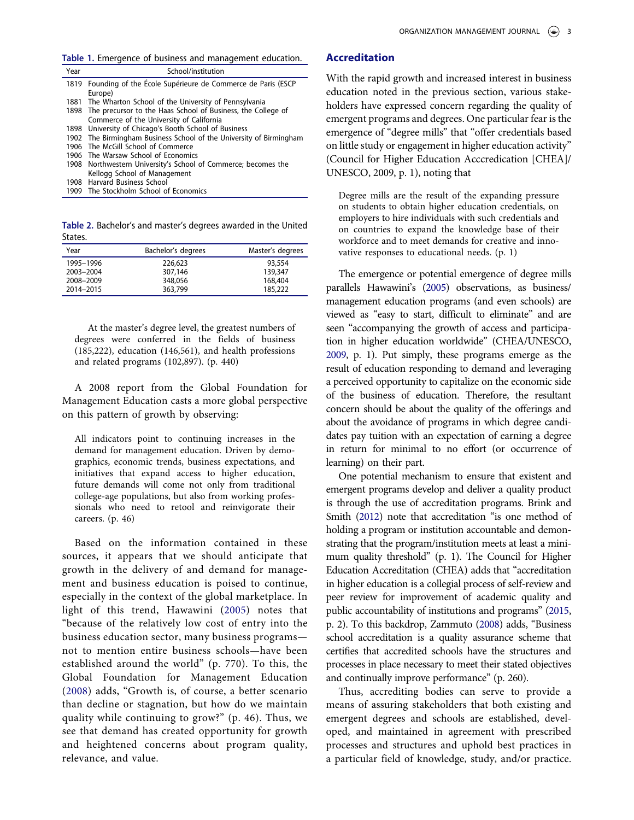<span id="page-2-0"></span>Table 1. Emergence of business and management education.

| Year | School/institution                                                  |  |
|------|---------------------------------------------------------------------|--|
|      | 1819 Founding of the École Supérieure de Commerce de Paris (ESCP    |  |
|      | Europe)                                                             |  |
|      | 1881 The Wharton School of the University of Pennsylvania           |  |
|      | 1898 The precursor to the Haas School of Business, the College of   |  |
|      | Commerce of the University of California                            |  |
|      | 1898 University of Chicago's Booth School of Business               |  |
|      | 1902 The Birmingham Business School of the University of Birmingham |  |
|      | 1906 The McGill School of Commerce                                  |  |
|      | 1906 The Warsaw School of Economics                                 |  |
|      | 1908 Northwestern University's School of Commerce; becomes the      |  |
|      | Kellogg School of Management                                        |  |
| 1908 | Harvard Business School                                             |  |
|      | 1909 The Stockholm School of Economics                              |  |

<span id="page-2-1"></span>Table 2. Bachelor's and master's degrees awarded in the United States.

| Year      | Bachelor's degrees | Master's degrees |
|-----------|--------------------|------------------|
| 1995-1996 | 226,623            | 93,554           |
| 2003-2004 | 307.146            | 139,347          |
| 2008-2009 | 348,056            | 168,404          |
| 2014-2015 | 363,799            | 185,222          |

At the master's degree level, the greatest numbers of degrees were conferred in the fields of business (185,222), education (146,561), and health professions and related programs (102,897). (p. 440)

A 2008 report from the Global Foundation for Management Education casts a more global perspective on this pattern of growth by observing:

All indicators point to continuing increases in the demand for management education. Driven by demographics, economic trends, business expectations, and initiatives that expand access to higher education, future demands will come not only from traditional college-age populations, but also from working professionals who need to retool and reinvigorate their careers. (p. 46)

Based on the information contained in these sources, it appears that we should anticipate that growth in the delivery of and demand for management and business education is poised to continue, especially in the context of the global marketplace. In light of this trend, Hawawini ([2005\)](#page-5-2) notes that "because of the relatively low cost of entry into the business education sector, many business programs not to mention entire business schools—have been established around the world" (p. 770). To this, the Global Foundation for Management Education ([2008\)](#page-5-4) adds, "Growth is, of course, a better scenario than decline or stagnation, but how do we maintain quality while continuing to grow?" (p. 46). Thus, we see that demand has created opportunity for growth and heightened concerns about program quality, relevance, and value.

#### Accreditation

With the rapid growth and increased interest in business education noted in the previous section, various stakeholders have expressed concern regarding the quality of emergent programs and degrees. One particular fear is the emergence of "degree mills" that "offer credentials based on little study or engagement in higher education activity" (Council for Higher Education Acccredication [CHEA]/ UNESCO, 2009, p. 1), noting that

Degree mills are the result of the expanding pressure on students to obtain higher education credentials, on employers to hire individuals with such credentials and on countries to expand the knowledge base of their workforce and to meet demands for creative and innovative responses to educational needs. (p. 1)

The emergence or potential emergence of degree mills parallels Hawawini's [\(2005\)](#page-5-2) observations, as business/ management education programs (and even schools) are viewed as "easy to start, difficult to eliminate" and are seen "accompanying the growth of access and participation in higher education worldwide" (CHEA/UNESCO, [2009](#page-5-5), p. 1). Put simply, these programs emerge as the result of education responding to demand and leveraging a perceived opportunity to capitalize on the economic side of the business of education. Therefore, the resultant concern should be about the quality of the offerings and about the avoidance of programs in which degree candidates pay tuition with an expectation of earning a degree in return for minimal to no effort (or occurrence of learning) on their part.

One potential mechanism to ensure that existent and emergent programs develop and deliver a quality product is through the use of accreditation programs. Brink and Smith [\(2012](#page-5-0)) note that accreditation "is one method of holding a program or institution accountable and demonstrating that the program/institution meets at least a minimum quality threshold" (p. 1). The Council for Higher Education Accreditation (CHEA) adds that "accreditation in higher education is a collegial process of self-review and peer review for improvement of academic quality and public accountability of institutions and programs" [\(2015,](#page-5-6) p. 2). To this backdrop, Zammuto [\(2008](#page-5-7)) adds, "Business school accreditation is a quality assurance scheme that certifies that accredited schools have the structures and processes in place necessary to meet their stated objectives and continually improve performance" (p. 260).

Thus, accrediting bodies can serve to provide a means of assuring stakeholders that both existing and emergent degrees and schools are established, developed, and maintained in agreement with prescribed processes and structures and uphold best practices in a particular field of knowledge, study, and/or practice.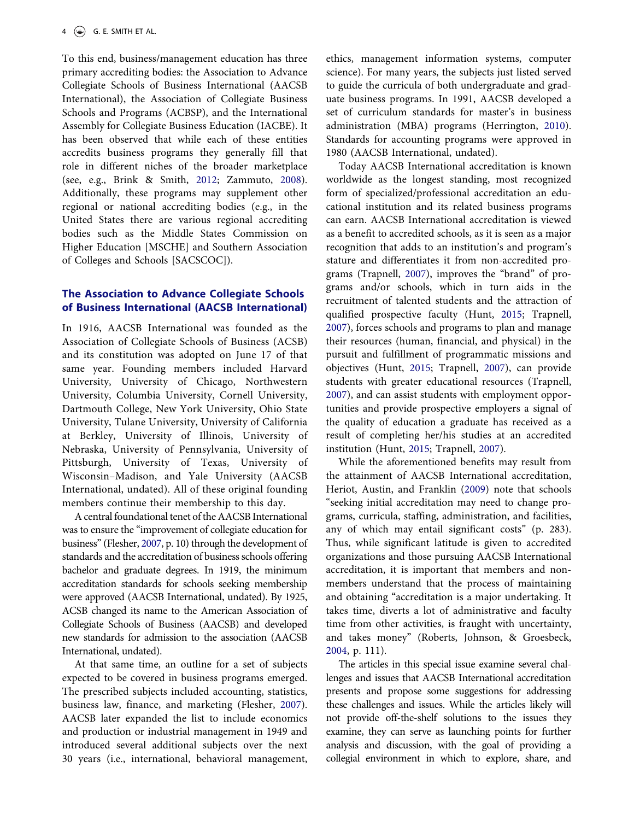To this end, business/management education has three primary accrediting bodies: the Association to Advance Collegiate Schools of Business International (AACSB International), the Association of Collegiate Business Schools and Programs (ACBSP), and the International Assembly for Collegiate Business Education (IACBE). It has been observed that while each of these entities accredits business programs they generally fill that role in different niches of the broader marketplace (see, e.g., Brink & Smith, [2012;](#page-5-0) Zammuto, [2008\)](#page-5-7). Additionally, these programs may supplement other regional or national accrediting bodies (e.g., in the United States there are various regional accrediting bodies such as the Middle States Commission on Higher Education [MSCHE] and Southern Association of Colleges and Schools [SACSCOC]).

#### The Association to Advance Collegiate Schools of Business International (AACSB International)

In 1916, AACSB International was founded as the Association of Collegiate Schools of Business (ACSB) and its constitution was adopted on June 17 of that same year. Founding members included Harvard University, University of Chicago, Northwestern University, Columbia University, Cornell University, Dartmouth College, New York University, Ohio State University, Tulane University, University of California at Berkley, University of Illinois, University of Nebraska, University of Pennsylvania, University of Pittsburgh, University of Texas, University of Wisconsin–Madison, and Yale University (AACSB International, undated). All of these original founding members continue their membership to this day.

A central foundational tenet of the AACSB International was to ensure the "improvement of collegiate education for business" (Flesher, [2007,](#page-5-8) p. 10) through the development of standards and the accreditation of business schools offering bachelor and graduate degrees. In 1919, the minimum accreditation standards for schools seeking membership were approved (AACSB International, undated). By 1925, ACSB changed its name to the American Association of Collegiate Schools of Business (AACSB) and developed new standards for admission to the association (AACSB International, undated).

At that same time, an outline for a set of subjects expected to be covered in business programs emerged. The prescribed subjects included accounting, statistics, business law, finance, and marketing (Flesher, [2007\)](#page-5-8). AACSB later expanded the list to include economics and production or industrial management in 1949 and introduced several additional subjects over the next 30 years (i.e., international, behavioral management, ethics, management information systems, computer science). For many years, the subjects just listed served to guide the curricula of both undergraduate and graduate business programs. In 1991, AACSB developed a set of curriculum standards for master's in business administration (MBA) programs (Herrington, [2010\)](#page-5-9). Standards for accounting programs were approved in 1980 (AACSB International, undated).

Today AACSB International accreditation is known worldwide as the longest standing, most recognized form of specialized/professional accreditation an educational institution and its related business programs can earn. AACSB International accreditation is viewed as a benefit to accredited schools, as it is seen as a major recognition that adds to an institution's and program's stature and differentiates it from non-accredited programs (Trapnell, [2007\)](#page-5-10), improves the "brand" of programs and/or schools, which in turn aids in the recruitment of talented students and the attraction of qualified prospective faculty (Hunt, [2015](#page-5-11); Trapnell, [2007](#page-5-10)), forces schools and programs to plan and manage their resources (human, financial, and physical) in the pursuit and fulfillment of programmatic missions and objectives (Hunt, [2015](#page-5-11); Trapnell, [2007\)](#page-5-10), can provide students with greater educational resources (Trapnell, [2007](#page-5-10)), and can assist students with employment opportunities and provide prospective employers a signal of the quality of education a graduate has received as a result of completing her/his studies at an accredited institution (Hunt, [2015;](#page-5-11) Trapnell, [2007\)](#page-5-10).

While the aforementioned benefits may result from the attainment of AACSB International accreditation, Heriot, Austin, and Franklin ([2009\)](#page-5-12) note that schools "seeking initial accreditation may need to change programs, curricula, staffing, administration, and facilities, any of which may entail significant costs" (p. 283). Thus, while significant latitude is given to accredited organizations and those pursuing AACSB International accreditation, it is important that members and nonmembers understand that the process of maintaining and obtaining "accreditation is a major undertaking. It takes time, diverts a lot of administrative and faculty time from other activities, is fraught with uncertainty, and takes money" (Roberts, Johnson, & Groesbeck, [2004](#page-5-13), p. 111).

The articles in this special issue examine several challenges and issues that AACSB International accreditation presents and propose some suggestions for addressing these challenges and issues. While the articles likely will not provide off-the-shelf solutions to the issues they examine, they can serve as launching points for further analysis and discussion, with the goal of providing a collegial environment in which to explore, share, and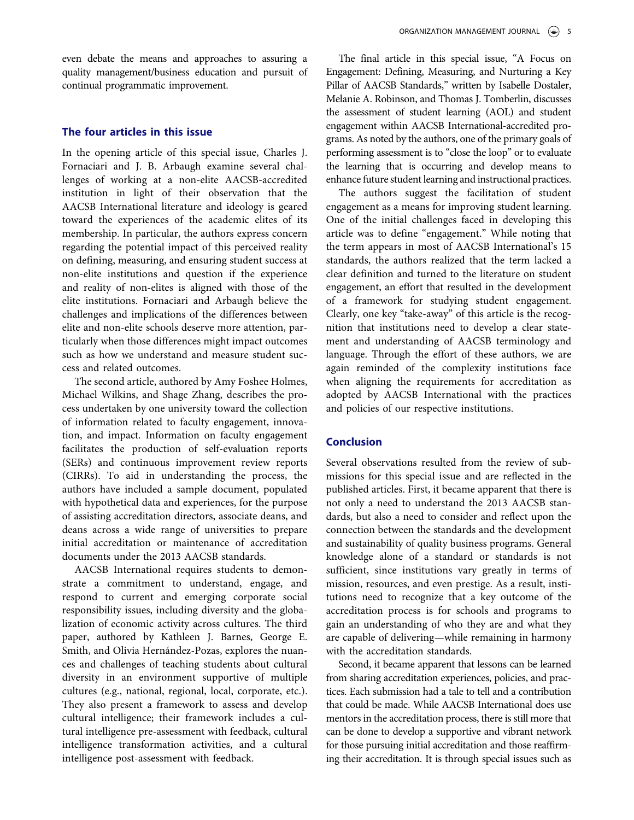even debate the means and approaches to assuring a quality management/business education and pursuit of continual programmatic improvement.

#### The four articles in this issue

In the opening article of this special issue, Charles J. Fornaciari and J. B. Arbaugh examine several challenges of working at a non-elite AACSB-accredited institution in light of their observation that the AACSB International literature and ideology is geared toward the experiences of the academic elites of its membership. In particular, the authors express concern regarding the potential impact of this perceived reality on defining, measuring, and ensuring student success at non-elite institutions and question if the experience and reality of non-elites is aligned with those of the elite institutions. Fornaciari and Arbaugh believe the challenges and implications of the differences between elite and non-elite schools deserve more attention, particularly when those differences might impact outcomes such as how we understand and measure student success and related outcomes.

The second article, authored by Amy Foshee Holmes, Michael Wilkins, and Shage Zhang, describes the process undertaken by one university toward the collection of information related to faculty engagement, innovation, and impact. Information on faculty engagement facilitates the production of self-evaluation reports (SERs) and continuous improvement review reports (CIRRs). To aid in understanding the process, the authors have included a sample document, populated with hypothetical data and experiences, for the purpose of assisting accreditation directors, associate deans, and deans across a wide range of universities to prepare initial accreditation or maintenance of accreditation documents under the 2013 AACSB standards.

AACSB International requires students to demonstrate a commitment to understand, engage, and respond to current and emerging corporate social responsibility issues, including diversity and the globalization of economic activity across cultures. The third paper, authored by Kathleen J. Barnes, George E. Smith, and Olivia Hernández-Pozas, explores the nuances and challenges of teaching students about cultural diversity in an environment supportive of multiple cultures (e.g., national, regional, local, corporate, etc.). They also present a framework to assess and develop cultural intelligence; their framework includes a cultural intelligence pre-assessment with feedback, cultural intelligence transformation activities, and a cultural intelligence post-assessment with feedback.

The final article in this special issue, "A Focus on Engagement: Defining, Measuring, and Nurturing a Key Pillar of AACSB Standards," written by Isabelle Dostaler, Melanie A. Robinson, and Thomas J. Tomberlin, discusses the assessment of student learning (AOL) and student engagement within AACSB International-accredited programs. As noted by the authors, one of the primary goals of performing assessment is to "close the loop" or to evaluate the learning that is occurring and develop means to enhance future student learning and instructional practices.

The authors suggest the facilitation of student engagement as a means for improving student learning. One of the initial challenges faced in developing this article was to define "engagement." While noting that the term appears in most of AACSB International's 15 standards, the authors realized that the term lacked a clear definition and turned to the literature on student engagement, an effort that resulted in the development of a framework for studying student engagement. Clearly, one key "take-away" of this article is the recognition that institutions need to develop a clear statement and understanding of AACSB terminology and language. Through the effort of these authors, we are again reminded of the complexity institutions face when aligning the requirements for accreditation as adopted by AACSB International with the practices and policies of our respective institutions.

#### Conclusion

Several observations resulted from the review of submissions for this special issue and are reflected in the published articles. First, it became apparent that there is not only a need to understand the 2013 AACSB standards, but also a need to consider and reflect upon the connection between the standards and the development and sustainability of quality business programs. General knowledge alone of a standard or standards is not sufficient, since institutions vary greatly in terms of mission, resources, and even prestige. As a result, institutions need to recognize that a key outcome of the accreditation process is for schools and programs to gain an understanding of who they are and what they are capable of delivering—while remaining in harmony with the accreditation standards.

Second, it became apparent that lessons can be learned from sharing accreditation experiences, policies, and practices. Each submission had a tale to tell and a contribution that could be made. While AACSB International does use mentors in the accreditation process, there is still more that can be done to develop a supportive and vibrant network for those pursuing initial accreditation and those reaffirming their accreditation. It is through special issues such as